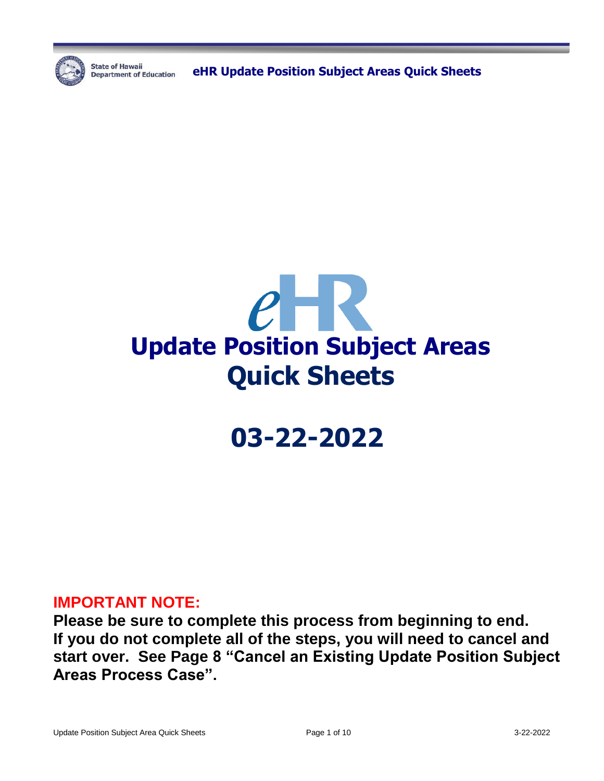

**State of Hawaii** 

**Department of Education** eHR Update Position Subject Areas Quick Sheets



# **03-22-2022**

### **IMPORTANT NOTE:**

**Please be sure to complete this process from beginning to end. If you do not complete all of the steps, you will need to cancel and start over. See Page 8 "Cancel an Existing Update Position Subject Areas Process Case".**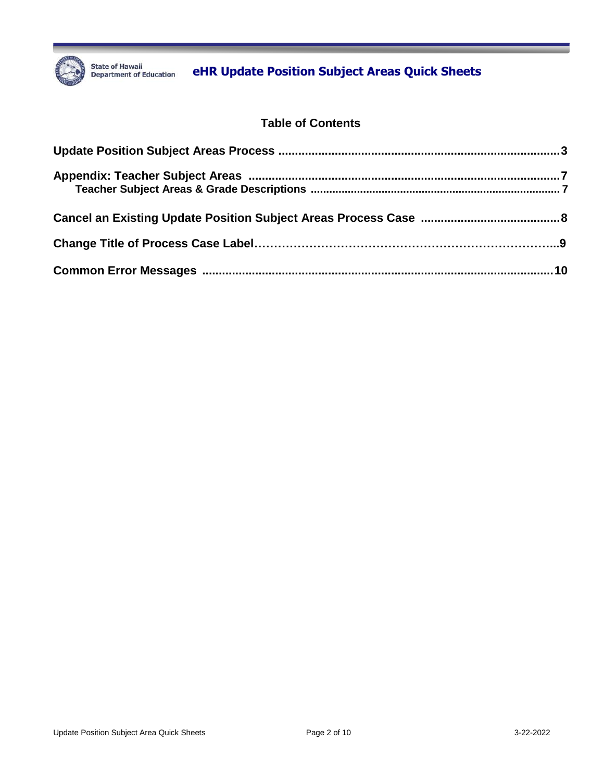

## State of Hawaii **Book State of Hawaii** Department of Education **CHR Update Position Subject Areas Quick Sheets**

#### **Table of Contents**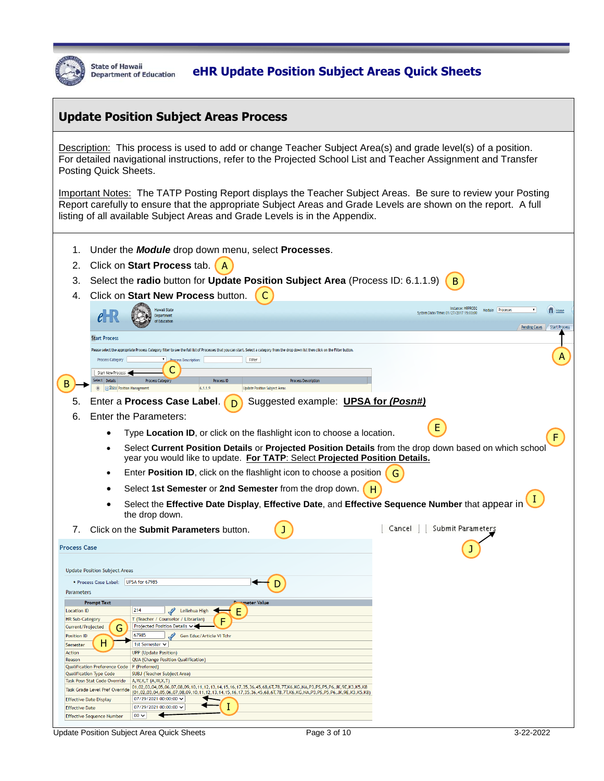

### State of Hawali<br>Department of Education **CHR Update Position Subject Areas Quick Sheets**

#### **Update Position Subject Areas Process**

Description: This process is used to add or change Teacher Subject Area(s) and grade level(s) of a position. For detailed navigational instructions, refer to the Projected School List and Teacher Assignment and Transfer Posting Quick Sheets.

Important Notes: The TATP Posting Report displays the Teacher Subject Areas. Be sure to review your Posting Report carefully to ensure that the appropriate Subject Areas and Grade Levels are shown on the report. A full listing of all available Subject Areas and Grade Levels is in the Appendix.

- 1. Under the *Module* drop down menu, select **Processes**.
- 2. Click on **Start Process** tab. A
- 3. Select the **radio** button for **Update Position Subject Area** (Process ID: 6.1.1.9) B

| 4.                            |                                               | Click on Start New Process button.                                                                                                                                                                                           |                                                        |
|-------------------------------|-----------------------------------------------|------------------------------------------------------------------------------------------------------------------------------------------------------------------------------------------------------------------------------|--------------------------------------------------------|
|                               |                                               | <b>Hawaii State</b>                                                                                                                                                                                                          | Instance: HRPROD2<br>Module Processes<br>$\mathbf{v}$  |
|                               |                                               | Department                                                                                                                                                                                                                   | <b>T</b> Home<br>System Date/Time: 01/27/2017 15:03:00 |
|                               |                                               | of Education                                                                                                                                                                                                                 | <b>Pending Cases</b><br><b>Start Process</b>           |
|                               | <b>Start Process</b>                          |                                                                                                                                                                                                                              |                                                        |
|                               |                                               | Please select the appropriate Process Category filter to see the full list of Processes that you can start. Select a category from the drop down list then click on the Filter button.                                       |                                                        |
|                               | <b>Process Category</b>                       | <b>Process Description:</b><br>Filter                                                                                                                                                                                        |                                                        |
|                               |                                               |                                                                                                                                                                                                                              |                                                        |
|                               | Start New Process                             |                                                                                                                                                                                                                              |                                                        |
|                               | elect Details                                 | <b>Process Categor</b><br><b>Process ID</b><br><b>Process Description</b>                                                                                                                                                    |                                                        |
|                               | <b>EXECUTE: Show Position Management</b>      | 6.1.1.9<br><b>Update Position Subject Areas</b>                                                                                                                                                                              |                                                        |
|                               |                                               | Enter a Process Case Label.<br>Suggested example: UPSA for (Posn#)                                                                                                                                                           |                                                        |
| 6.                            |                                               | <b>Enter the Parameters:</b>                                                                                                                                                                                                 |                                                        |
|                               |                                               |                                                                                                                                                                                                                              | E                                                      |
|                               |                                               | Type Location ID, or click on the flashlight icon to choose a location.                                                                                                                                                      |                                                        |
|                               |                                               | Select Current Position Details or Projected Position Details from the drop down based on which schoo<br>year you would like to update. For TATP: Select Projected Position Details.                                         |                                                        |
|                               |                                               | Enter Position ID, click on the flashlight icon to choose a position                                                                                                                                                         | G                                                      |
|                               |                                               |                                                                                                                                                                                                                              |                                                        |
|                               |                                               | Select 1st Semester or 2nd Semester from the drop down.<br>н                                                                                                                                                                 |                                                        |
|                               |                                               | Select the Effective Date Display, Effective Date, and Effective Sequence Number that appear in                                                                                                                              |                                                        |
|                               |                                               | the drop down.                                                                                                                                                                                                               |                                                        |
| 7.                            |                                               | Click on the Submit Parameters button.                                                                                                                                                                                       | Submit Parameters<br>Cancel                            |
|                               |                                               |                                                                                                                                                                                                                              |                                                        |
| <b>Process Case</b>           |                                               |                                                                                                                                                                                                                              |                                                        |
|                               |                                               |                                                                                                                                                                                                                              |                                                        |
|                               | <b>Update Position Subject Areas</b>          |                                                                                                                                                                                                                              |                                                        |
|                               |                                               |                                                                                                                                                                                                                              |                                                        |
|                               | * Process Case Label:                         | UPSA for 67985                                                                                                                                                                                                               |                                                        |
| <b>Parameters</b>             |                                               |                                                                                                                                                                                                                              |                                                        |
|                               | <b>Prompt Text</b>                            | <b>Proprieter Value</b>                                                                                                                                                                                                      |                                                        |
| <b>Location ID</b>            |                                               | 214<br>Ε<br>$\mathscr{L}$<br>Leilehua High                                                                                                                                                                                   |                                                        |
| <b>HR Sub-Category</b>        |                                               | T (Teacher / Counselor / Librarian)                                                                                                                                                                                          |                                                        |
| Current/Projected             |                                               | Projected Position Details v                                                                                                                                                                                                 |                                                        |
| <b>Position ID</b>            |                                               | 67985<br>Gen Educ/Article VI Tchr                                                                                                                                                                                            |                                                        |
| Semester                      | н                                             | 1st Semester ∨                                                                                                                                                                                                               |                                                        |
| Action                        |                                               | <b>UPP</b> (Update Position)                                                                                                                                                                                                 |                                                        |
| Reason                        | Qualification Preference Code   P (Preferred) | <b>QUA (Change Position Qualification)</b>                                                                                                                                                                                   |                                                        |
|                               | <b>Qualification Type Code</b>                | <b>SUBJ</b> (Teacher Subject Area)                                                                                                                                                                                           |                                                        |
|                               | Task Posn Stat Code Override                  | A, W, X, T (A, W, X, T)                                                                                                                                                                                                      |                                                        |
|                               | Task Grade Level Pref Override                | 01,02,03,04,05,06,07,08,09,10,11,12,13,14,15,16,17,35,36,45,68,6T,78,7T,K6,KG,NA,P3,PS,P5,P6,JK,9E,K3,K5,K8<br>(01,02,03,04,05,06,07,08,09,10,11,12,13,14,15,16,17,35,36,45,68,6T,78,7T,K6,KG,NA,P3,PS,P5,P6,JK,9E,K3,K5,K8) |                                                        |
| <b>Effective Date Display</b> |                                               | 07/29/2021 00:00:00 →                                                                                                                                                                                                        |                                                        |
| <b>Effective Date</b>         |                                               | 07/29/2021 00:00:00 $\sim$                                                                                                                                                                                                   |                                                        |
|                               | <b>Effective Sequence Number</b>              | $00 \vee$                                                                                                                                                                                                                    |                                                        |

Update Position Subject Area Quick Sheets **Page 3 of 10** 3-22-2022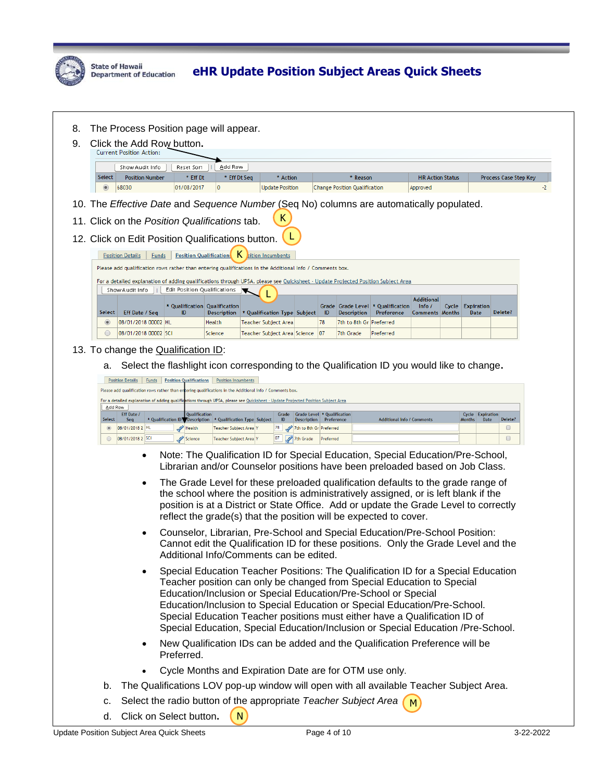

| Click the Add Row button.                                                                                                                   |                                                                                                                                                             |                                                |              |                                    |                                                   |                                                  |                                                 |                                     |       |                                           |                       |
|---------------------------------------------------------------------------------------------------------------------------------------------|-------------------------------------------------------------------------------------------------------------------------------------------------------------|------------------------------------------------|--------------|------------------------------------|---------------------------------------------------|--------------------------------------------------|-------------------------------------------------|-------------------------------------|-------|-------------------------------------------|-----------------------|
| <b>Current Position Action:</b>                                                                                                             |                                                                                                                                                             |                                                |              |                                    |                                                   |                                                  |                                                 |                                     |       |                                           |                       |
| Show Audit Info                                                                                                                             | Reset Sort                                                                                                                                                  | Add Row                                        |              |                                    |                                                   |                                                  |                                                 |                                     |       |                                           |                       |
| Select<br><b>Position Number</b><br>68030                                                                                                   | * Eff Dt<br>01/08/2017                                                                                                                                      |                                                | * Eff Dt Seq | * Action<br><b>Update Position</b> |                                                   | * Reason<br><b>Change Position Qualification</b> |                                                 | <b>HR Action Status</b><br>Approved |       |                                           | Process Case Step Key |
|                                                                                                                                             |                                                                                                                                                             |                                                |              |                                    |                                                   |                                                  |                                                 |                                     |       |                                           |                       |
| 10. The Effective Date and Sequence Number (Seq No) columns are automatically populated.                                                    |                                                                                                                                                             |                                                |              |                                    |                                                   |                                                  |                                                 |                                     |       |                                           |                       |
| 11. Click on the Position Qualifications tab.                                                                                               |                                                                                                                                                             |                                                |              | K                                  |                                                   |                                                  |                                                 |                                     |       |                                           |                       |
| 12. Click on Edit Position Qualifications button.                                                                                           |                                                                                                                                                             |                                                |              |                                    |                                                   |                                                  |                                                 |                                     |       |                                           |                       |
| <b>Position Details</b>                                                                                                                     | <b>Position Qualification:</b><br><b>Funds</b>                                                                                                              |                                                |              | sition Incumbents                  |                                                   |                                                  |                                                 |                                     |       |                                           |                       |
| Please add qualification rows rather than entering qualifications in the Additional Info / Comments box.                                    |                                                                                                                                                             |                                                |              |                                    |                                                   |                                                  |                                                 |                                     |       |                                           |                       |
| For a detailed explanation of adding qualifications through UPSA, please see Quicksheet - Update Projected Position Subject Area            |                                                                                                                                                             |                                                |              |                                    |                                                   |                                                  |                                                 |                                     |       |                                           |                       |
| Show Audit Info                                                                                                                             | Edit Position Qualifications                                                                                                                                |                                                |              |                                    |                                                   |                                                  |                                                 | <b>Additional</b>                   |       |                                           |                       |
| Select<br>Eff Date / Seq                                                                                                                    | * Qualification   Qualification<br>ID                                                                                                                       | Description                                    |              | * Qualification Type Subject       | - ID                                              | <b>Description</b>                               | Grade Grade Level * Qualification<br>Preference | Info /<br><b>Comments Months</b>    | Cycle | <b>Expiration</b><br>Date                 | Delete?               |
| 08/01/2018 00002 HL<br>$\circledcirc$                                                                                                       |                                                                                                                                                             | Health                                         |              | Teacher Subject Area               | 78                                                | 7th to 8th Gr Preferred                          |                                                 |                                     |       |                                           |                       |
| 08/01/2018 00002 SCI                                                                                                                        |                                                                                                                                                             | Science                                        |              | Teacher Subject Area Science       | 07                                                | 7th Grade                                        | Preferred                                       |                                     |       |                                           |                       |
| 13. To change the Qualification ID:                                                                                                         |                                                                                                                                                             |                                                |              |                                    |                                                   |                                                  |                                                 |                                     |       |                                           |                       |
| а.                                                                                                                                          | Select the flashlight icon corresponding to the Qualification ID you would like to change.                                                                  |                                                |              |                                    |                                                   |                                                  |                                                 |                                     |       |                                           |                       |
|                                                                                                                                             | Position Details   Funds   Position Qualifications   Position Incumbents                                                                                    |                                                |              |                                    |                                                   |                                                  |                                                 |                                     |       |                                           |                       |
|                                                                                                                                             |                                                                                                                                                             |                                                |              |                                    |                                                   |                                                  |                                                 |                                     |       |                                           |                       |
|                                                                                                                                             | Please add qualification rows rather than entering qualifications in the Additional Info / Comments box.                                                    |                                                |              |                                    |                                                   |                                                  |                                                 |                                     |       |                                           |                       |
| For a detailed explanation of adding qualifications through UPSA, please see Quicksheet - Update Projected Position Subject Area<br>Add Row |                                                                                                                                                             |                                                |              |                                    |                                                   |                                                  |                                                 |                                     |       |                                           |                       |
| Eff Date /<br>Select<br>Sea                                                                                                                 | Qualification<br>* Qualification ID Description   * Qualification Type Subject                                                                              |                                                |              | Grade<br><b>ID</b>                 | Grade Level * Qualification<br><b>Description</b> | Preference                                       | <b>Additional Info / Comments</b>               |                                     |       | Cycle Expiration<br><b>Months</b><br>Date | Delete?               |
| 08/01/2018 2 HL<br>$\circledcirc$<br>08/01/2018 2 SCI<br>$\circ$                                                                            | Health<br>Science                                                                                                                                           | Teacher Subject Area<br>Teacher Subject Area Y |              | 78<br>07                           | 7th to 8th Gr Preferred<br>7th Grade<br>Preferred |                                                  |                                                 |                                     |       |                                           | $\Box$<br>$\Box$      |
|                                                                                                                                             |                                                                                                                                                             |                                                |              |                                    |                                                   |                                                  |                                                 |                                     |       |                                           |                       |
| $\bullet$                                                                                                                                   | Note: The Qualification ID for Special Education, Special Education/Pre-School,                                                                             |                                                |              |                                    |                                                   |                                                  |                                                 |                                     |       |                                           |                       |
|                                                                                                                                             | Librarian and/or Counselor positions have been preloaded based on Job Class.                                                                                |                                                |              |                                    |                                                   |                                                  |                                                 |                                     |       |                                           |                       |
| ٠                                                                                                                                           | The Grade Level for these preloaded qualification defaults to the grade range of                                                                            |                                                |              |                                    |                                                   |                                                  |                                                 |                                     |       |                                           |                       |
|                                                                                                                                             | the school where the position is administratively assigned, or is left blank if the                                                                         |                                                |              |                                    |                                                   |                                                  |                                                 |                                     |       |                                           |                       |
|                                                                                                                                             | position is at a District or State Office. Add or update the Grade Level to correctly<br>reflect the grade(s) that the position will be expected to cover.  |                                                |              |                                    |                                                   |                                                  |                                                 |                                     |       |                                           |                       |
|                                                                                                                                             |                                                                                                                                                             |                                                |              |                                    |                                                   |                                                  |                                                 |                                     |       |                                           |                       |
| ٠                                                                                                                                           | Counselor, Librarian, Pre-School and Special Education/Pre-School Position:                                                                                 |                                                |              |                                    |                                                   |                                                  |                                                 |                                     |       |                                           |                       |
|                                                                                                                                             | Cannot edit the Qualification ID for these positions. Only the Grade Level and the<br>Additional Info/Comments can be edited.                               |                                                |              |                                    |                                                   |                                                  |                                                 |                                     |       |                                           |                       |
|                                                                                                                                             |                                                                                                                                                             |                                                |              |                                    |                                                   |                                                  |                                                 |                                     |       |                                           |                       |
|                                                                                                                                             | Special Education Teacher Positions: The Qualification ID for a Special Education<br>Teacher position can only be changed from Special Education to Special |                                                |              |                                    |                                                   |                                                  |                                                 |                                     |       |                                           |                       |
|                                                                                                                                             | Education/Inclusion or Special Education/Pre-School or Special                                                                                              |                                                |              |                                    |                                                   |                                                  |                                                 |                                     |       |                                           |                       |
|                                                                                                                                             | Education/Inclusion to Special Education or Special Education/Pre-School.                                                                                   |                                                |              |                                    |                                                   |                                                  |                                                 |                                     |       |                                           |                       |
|                                                                                                                                             | Special Education Teacher positions must either have a Qualification ID of                                                                                  |                                                |              |                                    |                                                   |                                                  |                                                 |                                     |       |                                           |                       |
|                                                                                                                                             | Special Education, Special Education/Inclusion or Special Education /Pre-School.                                                                            |                                                |              |                                    |                                                   |                                                  |                                                 |                                     |       |                                           |                       |
| $\bullet$                                                                                                                                   | New Qualification IDs can be added and the Qualification Preference will be<br>Preferred.                                                                   |                                                |              |                                    |                                                   |                                                  |                                                 |                                     |       |                                           |                       |
| $\bullet$                                                                                                                                   | Cycle Months and Expiration Date are for OTM use only.                                                                                                      |                                                |              |                                    |                                                   |                                                  |                                                 |                                     |       |                                           |                       |
| b.                                                                                                                                          | The Qualifications LOV pop-up window will open with all available Teacher Subject Area.                                                                     |                                                |              |                                    |                                                   |                                                  |                                                 |                                     |       |                                           |                       |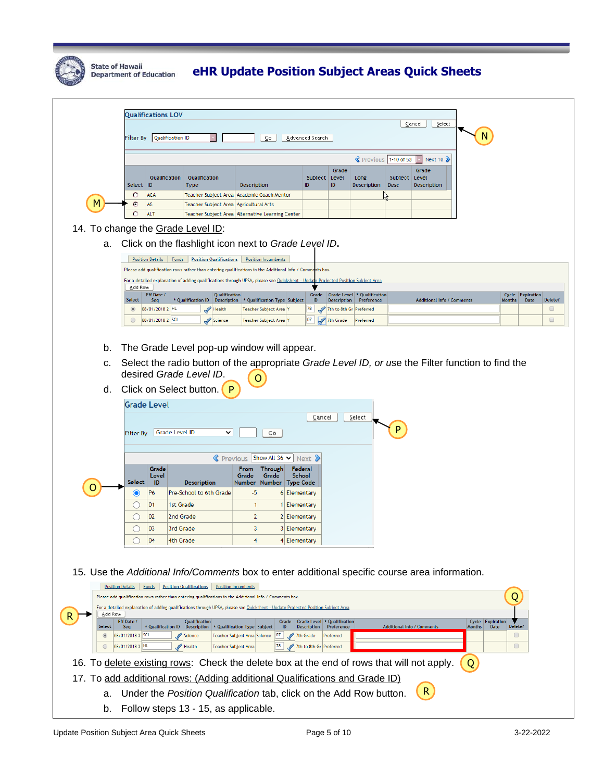

|                                                                                                                                                                                                         | <b>Qualifications LOV</b>                            |                                                                                                                                                                |                                                                 |                                 |                         |                                       |             |                                          |                       |                            |                   |
|---------------------------------------------------------------------------------------------------------------------------------------------------------------------------------------------------------|------------------------------------------------------|----------------------------------------------------------------------------------------------------------------------------------------------------------------|-----------------------------------------------------------------|---------------------------------|-------------------------|---------------------------------------|-------------|------------------------------------------|-----------------------|----------------------------|-------------------|
|                                                                                                                                                                                                         | ≦elect<br>⊆ancel                                     |                                                                                                                                                                |                                                                 |                                 |                         |                                       |             |                                          |                       |                            |                   |
|                                                                                                                                                                                                         | Filter By Qualification ID<br>⊊o<br>Advanced Search  |                                                                                                                                                                |                                                                 |                                 |                         |                                       |             |                                          |                       |                            |                   |
|                                                                                                                                                                                                         |                                                      |                                                                                                                                                                |                                                                 |                                 |                         |                                       |             |                                          |                       |                            |                   |
|                                                                                                                                                                                                         |                                                      |                                                                                                                                                                |                                                                 |                                 |                         | Previous 1-10 of 53                   |             | $\overline{\phantom{a}}$<br>Next 10 $\&$ |                       |                            |                   |
|                                                                                                                                                                                                         | Qualification                                        | Qualification                                                                                                                                                  |                                                                 | Subject Level                   | Grade                   | Long                                  | Subject     | Grade<br>Level                           |                       |                            |                   |
|                                                                                                                                                                                                         | Select ID                                            | Type                                                                                                                                                           | Description                                                     | ID                              | ID                      | Description                           | <b>Desc</b> | Description                              |                       |                            |                   |
|                                                                                                                                                                                                         | $\circ$<br><b>ACA</b><br>AG<br>G                     | <b>Teacher Subject Area</b>                                                                                                                                    | Teacher Subject Area Academic Coach Mentor<br>Agricultural Arts |                                 |                         |                                       |             |                                          |                       |                            |                   |
|                                                                                                                                                                                                         | $\circ$<br><b>ALT</b>                                |                                                                                                                                                                | Teacher Subject Area   Alternative Learning Center              |                                 |                         |                                       |             |                                          |                       |                            |                   |
| 14. To change the Grade Level ID:                                                                                                                                                                       |                                                      |                                                                                                                                                                |                                                                 |                                 |                         |                                       |             |                                          |                       |                            |                   |
| a.                                                                                                                                                                                                      | Click on the flashlight icon next to Grade Level ID. |                                                                                                                                                                |                                                                 |                                 |                         |                                       |             |                                          |                       |                            |                   |
|                                                                                                                                                                                                         |                                                      |                                                                                                                                                                |                                                                 |                                 |                         |                                       |             |                                          |                       |                            |                   |
|                                                                                                                                                                                                         |                                                      | Position Details   Funds   Position Qualifications<br>Please add qualification rows rather than entering qualifications in the Additional Info / Comments box. | <b>Position Incumbents</b>                                      |                                 |                         |                                       |             |                                          |                       |                            |                   |
|                                                                                                                                                                                                         |                                                      | For a detailed explanation of adding qualifications through UPSA, please see Quicksheet - Update Projected Position Subject Area                               |                                                                 |                                 |                         |                                       |             |                                          |                       |                            |                   |
|                                                                                                                                                                                                         | Add Row<br>Eff Date /                                | Qualification                                                                                                                                                  |                                                                 | Grade                           |                         | Grade Level * Qualification           |             |                                          |                       | Cycle<br><b>Expiration</b> |                   |
|                                                                                                                                                                                                         | Select<br>Seq<br>08/01/2018 2 HL<br>$\circledcirc$   | * Qualification ID<br>Description<br>$\mathscr{P}$<br>Health                                                                                                   | * Qualification Type Subject<br>Teacher Subject Area Y          | <b>ID</b><br>78                 | <b>Description</b>      | Preference<br>7th to 8th Gr Preferred |             | <b>Additional Info / Comments</b>        |                       | <b>Months</b><br>Date      | Delete?<br>$\Box$ |
|                                                                                                                                                                                                         | 08/01/2018 2 SCI<br>$\circ$                          | Science                                                                                                                                                        | Teacher Subject Area Y                                          | 07                              | 7th Grade               | Preferred                             |             |                                          |                       |                            | $\Box$            |
|                                                                                                                                                                                                         |                                                      |                                                                                                                                                                |                                                                 |                                 |                         |                                       |             |                                          |                       |                            |                   |
| b.                                                                                                                                                                                                      |                                                      | The Grade Level pop-up window will appear.                                                                                                                     |                                                                 |                                 |                         |                                       |             |                                          |                       |                            |                   |
|                                                                                                                                                                                                         |                                                      |                                                                                                                                                                |                                                                 |                                 |                         |                                       |             |                                          |                       |                            |                   |
| c.                                                                                                                                                                                                      |                                                      | Select the radio button of the appropriate Grade Level ID, or use the Filter function to find the<br>desired Grade Level ID.                                   |                                                                 |                                 |                         |                                       |             |                                          |                       |                            |                   |
|                                                                                                                                                                                                         |                                                      |                                                                                                                                                                | O                                                               |                                 |                         |                                       |             |                                          |                       |                            |                   |
|                                                                                                                                                                                                         |                                                      | d. Click on Select button.<br>P                                                                                                                                |                                                                 |                                 |                         |                                       |             |                                          |                       |                            |                   |
|                                                                                                                                                                                                         | <b>Grade Level</b>                                   |                                                                                                                                                                |                                                                 |                                 |                         |                                       |             |                                          |                       |                            |                   |
|                                                                                                                                                                                                         |                                                      |                                                                                                                                                                |                                                                 | Cancel                          |                         | Select                                |             |                                          |                       |                            |                   |
|                                                                                                                                                                                                         | Filter By                                            | Grade Level ID<br>◡                                                                                                                                            | ⊆o                                                              |                                 |                         |                                       | P           |                                          |                       |                            |                   |
|                                                                                                                                                                                                         |                                                      |                                                                                                                                                                |                                                                 |                                 |                         |                                       |             |                                          |                       |                            |                   |
|                                                                                                                                                                                                         | Grade                                                |                                                                                                                                                                | $\mathsf{\&}$ Previous   Show All 36 $\mathsf{\sim}$<br>Through | Next 2<br>Federal               |                         |                                       |             |                                          |                       |                            |                   |
|                                                                                                                                                                                                         | Level<br>Select                                      |                                                                                                                                                                | <b>From</b><br>Grade<br>Grade                                   | <b>School</b>                   |                         |                                       |             |                                          |                       |                            |                   |
|                                                                                                                                                                                                         | - ID<br>P <sub>6</sub>                               | <b>Description</b><br>Pre-School to 6th Grade                                                                                                                  | <b>Number</b><br>Number Type Code<br>-5                         | 6 Elementary                    |                         |                                       |             |                                          |                       |                            |                   |
|                                                                                                                                                                                                         | 01                                                   | 1st Grade                                                                                                                                                      | -1                                                              | 1 Elementary                    |                         |                                       |             |                                          |                       |                            |                   |
|                                                                                                                                                                                                         | 02                                                   | 2nd Grade                                                                                                                                                      | 2                                                               | 2 Elementary                    |                         |                                       |             |                                          |                       |                            |                   |
|                                                                                                                                                                                                         | 03                                                   | 3rd Grade                                                                                                                                                      | 3                                                               | 3 Elementary                    |                         |                                       |             |                                          |                       |                            |                   |
|                                                                                                                                                                                                         | 04                                                   | 4th Grade                                                                                                                                                      |                                                                 | 4 Elementary                    |                         |                                       |             |                                          |                       |                            |                   |
|                                                                                                                                                                                                         |                                                      |                                                                                                                                                                |                                                                 |                                 |                         |                                       |             |                                          |                       |                            |                   |
|                                                                                                                                                                                                         |                                                      |                                                                                                                                                                |                                                                 |                                 |                         |                                       |             |                                          |                       |                            |                   |
|                                                                                                                                                                                                         |                                                      | 15. Use the Additional Info/Comments box to enter additional specific course area information.                                                                 |                                                                 |                                 |                         |                                       |             |                                          |                       |                            |                   |
| Position Details Funds<br><b>Position Qualifications</b><br><b>Position Incumbents</b><br>Q<br>Please add qualification rows rather than entering qualifications in the Additional Info / Comments box. |                                                      |                                                                                                                                                                |                                                                 |                                 |                         |                                       |             |                                          |                       |                            |                   |
|                                                                                                                                                                                                         |                                                      | For a detailed explanation of adding qualifications through UPSA, please see Quicksheet - Update Projected Position Subject Area                               |                                                                 |                                 |                         |                                       |             |                                          |                       |                            |                   |
| Add Row                                                                                                                                                                                                 | Eff Date /                                           | Qualification                                                                                                                                                  | Grade                                                           | Grade Level * Qualification     |                         |                                       |             |                                          | Cycle Expiration      |                            |                   |
| Select<br>$\circledcirc$                                                                                                                                                                                | Seq<br>08/01/2018 3 SCI                              | * Qualification ID   Description   * Qualification Type Subject<br>I<br>Science                                                                                | ID<br>07<br>Teacher Subject Area Science                        | <b>Description</b><br>7th Grade | Preference<br>Preferred |                                       |             | <b>Additional Info / Comments</b>        | <b>Date</b><br>Months | Delete?<br>$\Box$          |                   |
| $\circ$                                                                                                                                                                                                 | 08/01/2018 3 HL                                      | Health                                                                                                                                                         | 78<br>Teacher Subject Area                                      | 7th to 8th Gr Preferred         |                         |                                       |             |                                          |                       | $\Box$                     |                   |
| 16.                                                                                                                                                                                                     |                                                      | To delete existing rows: Check the delete box at the end of rows that will not apply.                                                                          |                                                                 |                                 |                         |                                       |             |                                          | Q                     |                            |                   |
|                                                                                                                                                                                                         |                                                      |                                                                                                                                                                |                                                                 |                                 |                         |                                       |             |                                          |                       |                            |                   |
|                                                                                                                                                                                                         |                                                      | 17. To add additional rows: (Adding additional Qualifications and Grade ID)                                                                                    |                                                                 |                                 |                         |                                       |             |                                          |                       |                            |                   |
| a.                                                                                                                                                                                                      |                                                      | Under the Position Qualification tab, click on the Add Row button.                                                                                             |                                                                 |                                 |                         |                                       |             | $\mathsf{R}$                             |                       |                            |                   |
| Follow steps 13 - 15, as applicable.<br>b.                                                                                                                                                              |                                                      |                                                                                                                                                                |                                                                 |                                 |                         |                                       |             |                                          |                       |                            |                   |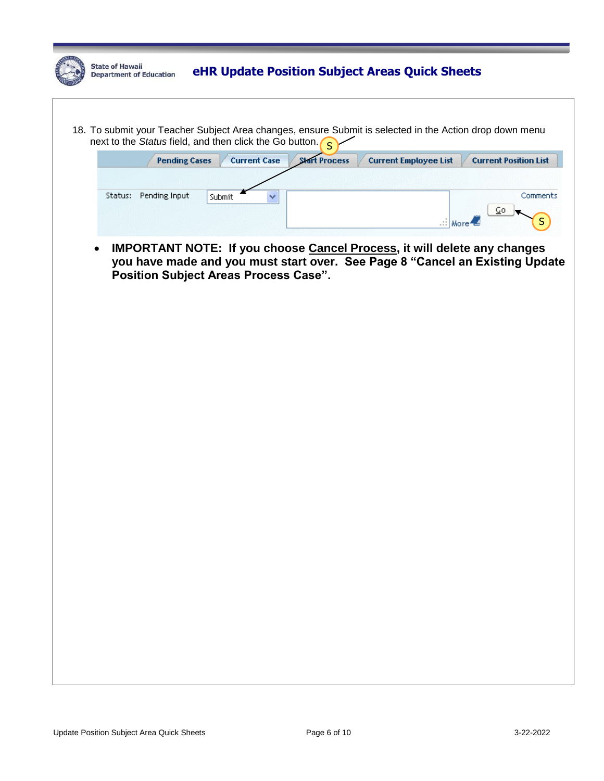|  | <b>State of Hawaii</b><br><b>Department of Education</b> |                       |        |                     | eHR Update Position Subject Areas Quick Sheets                  |                              |                                                                                                         |  |
|--|----------------------------------------------------------|-----------------------|--------|---------------------|-----------------------------------------------------------------|------------------------------|---------------------------------------------------------------------------------------------------------|--|
|  |                                                          |                       |        |                     | next to the Status field, and then click the Go button. $\zeta$ |                              | 18. To submit your Teacher Subject Area changes, ensure Submit is selected in the Action drop down menu |  |
|  |                                                          | <b>Pending Cases</b>  |        | <b>Current Case</b> | <b>Start Process</b>                                            | <b>Current Employee List</b> | <b>Current Position List</b>                                                                            |  |
|  |                                                          |                       |        |                     |                                                                 |                              |                                                                                                         |  |
|  |                                                          | Status: Pending Input | Submit |                     |                                                                 | .:: More                     | Comments<br>$Q_0$                                                                                       |  |
|  |                                                          |                       |        |                     | <b>Position Subject Areas Process Case".</b>                    |                              | you have made and you must start over. See Page 8 "Cancel an Existing Update                            |  |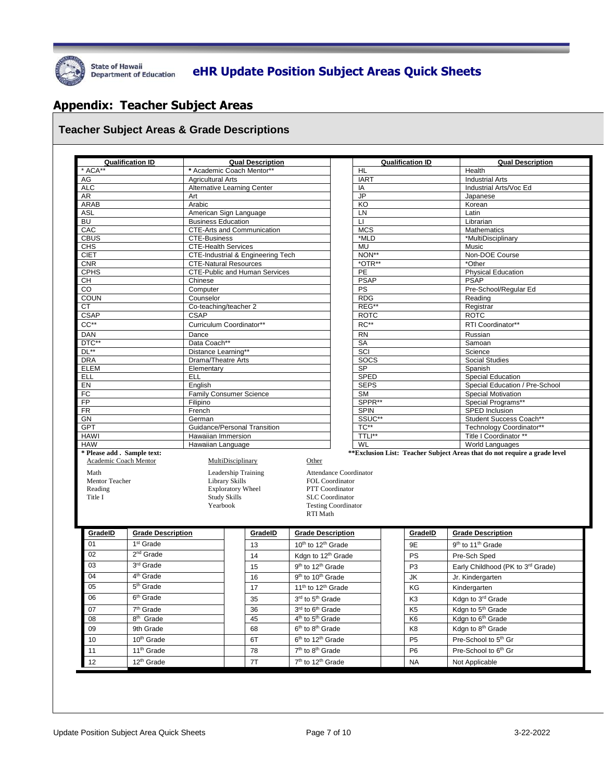

## State of Hawaii **Begartment of Education** eHR Update Position Subject Areas Quick Sheets

### **Appendix: Teacher Subject Areas**

#### **Teacher Subject Areas & Grade Descriptions**

|                            | <b>Qualification ID</b>                           | <b>Qual Description</b>                    |                     |                                                                                       | <b>Qualification ID</b> |                                                     |                             |                                           | <b>Qual Description</b>                                                   |  |  |
|----------------------------|---------------------------------------------------|--------------------------------------------|---------------------|---------------------------------------------------------------------------------------|-------------------------|-----------------------------------------------------|-----------------------------|-------------------------------------------|---------------------------------------------------------------------------|--|--|
| * ACA**                    |                                                   | * Academic Coach Mentor**                  |                     |                                                                                       |                         | <b>HL</b>                                           |                             |                                           | Health                                                                    |  |  |
| AG                         |                                                   | <b>Agricultural Arts</b>                   |                     |                                                                                       | <b>IART</b>             |                                                     |                             | <b>Industrial Arts</b>                    |                                                                           |  |  |
| <b>ALC</b>                 |                                                   | <b>Alternative Learning Center</b>         |                     |                                                                                       |                         | IA<br><b>JP</b>                                     |                             |                                           | Industrial Arts/Voc Ed                                                    |  |  |
| AR<br>ARAB                 |                                                   | Art<br>Arabic                              |                     |                                                                                       |                         | KO                                                  |                             |                                           | Japanese<br>Korean                                                        |  |  |
| <b>ASL</b>                 |                                                   | American Sign Language                     |                     |                                                                                       |                         | LN                                                  |                             |                                           | Latin                                                                     |  |  |
| <b>BU</b>                  |                                                   | <b>Business Education</b>                  |                     |                                                                                       |                         | $\mathsf{L}$                                        |                             |                                           | Librarian                                                                 |  |  |
| CAC                        |                                                   | CTE-Arts and Communication                 |                     |                                                                                       |                         | <b>MCS</b>                                          |                             |                                           | <b>Mathematics</b>                                                        |  |  |
| <b>CBUS</b>                |                                                   | <b>CTE-Business</b>                        |                     |                                                                                       |                         | *MLD                                                |                             |                                           | *MultiDisciplinary                                                        |  |  |
| <b>CHS</b>                 |                                                   | <b>CTE-Health Services</b>                 |                     |                                                                                       |                         | <b>MU</b>                                           |                             |                                           | Music                                                                     |  |  |
| <b>CIET</b>                |                                                   | CTE-Industrial & Engineering Tech          |                     |                                                                                       |                         | NON**                                               |                             |                                           | Non-DOE Course                                                            |  |  |
| CNR                        |                                                   | <b>CTE-Natural Resources</b>               |                     |                                                                                       |                         | *OTR**                                              |                             |                                           | *Other                                                                    |  |  |
| <b>CPHS</b>                |                                                   | <b>CTE-Public and Human Services</b>       |                     |                                                                                       |                         | PE                                                  |                             |                                           | <b>Physical Education</b><br><b>PSAP</b>                                  |  |  |
| CH<br>$\overline{c}$       |                                                   | Chinese<br>Computer                        |                     |                                                                                       |                         | <b>PSAP</b><br><b>PS</b>                            |                             |                                           | Pre-School/Regular Ed                                                     |  |  |
| COUN                       |                                                   | Counselor                                  |                     |                                                                                       |                         | <b>RDG</b>                                          |                             |                                           | Reading                                                                   |  |  |
| CT                         |                                                   | Co-teaching/teacher 2                      |                     |                                                                                       |                         | REG**                                               |                             |                                           | Registrar                                                                 |  |  |
| <b>CSAP</b>                |                                                   | <b>CSAP</b>                                |                     |                                                                                       |                         | <b>ROTC</b>                                         |                             |                                           | <b>ROTC</b>                                                               |  |  |
| $CC**$                     |                                                   | Curriculum Coordinator**                   |                     |                                                                                       |                         | RC**                                                |                             |                                           | RTI Coordinator**                                                         |  |  |
| <b>DAN</b>                 |                                                   | Dance                                      |                     |                                                                                       |                         | <b>RN</b>                                           |                             |                                           | Russian                                                                   |  |  |
| DTC**                      |                                                   | Data Coach**                               |                     |                                                                                       |                         | <b>SA</b>                                           |                             |                                           | Samoan                                                                    |  |  |
| $DL**$                     |                                                   | Distance Learning**                        |                     |                                                                                       |                         | SCI                                                 |                             |                                           | Science                                                                   |  |  |
| <b>DRA</b>                 |                                                   | Drama/Theatre Arts                         |                     |                                                                                       |                         | SOCS                                                |                             |                                           | Social Studies                                                            |  |  |
| <b>ELEM</b>                |                                                   | Elementary                                 |                     |                                                                                       |                         | <b>SP</b>                                           |                             |                                           | Spanish                                                                   |  |  |
| <b>ELL</b>                 |                                                   | ELL                                        |                     |                                                                                       |                         | SPED                                                |                             |                                           | Special Education                                                         |  |  |
| EN                         |                                                   | Enalish                                    |                     |                                                                                       |                         | <b>SEPS</b>                                         |                             |                                           | Special Education / Pre-School                                            |  |  |
| FC                         |                                                   | Family Consumer Science                    |                     |                                                                                       |                         | <b>SM</b><br>Special Motivation<br>SPPR**           |                             |                                           |                                                                           |  |  |
| FP<br>$\overline{FR}$      |                                                   | Filipino<br>French                         |                     |                                                                                       |                         | Special Programs**<br><b>SPIN</b><br>SPED Inclusion |                             |                                           |                                                                           |  |  |
| <b>GN</b>                  |                                                   | German                                     |                     |                                                                                       |                         | SSUC**<br>Student Success Coach**                   |                             |                                           |                                                                           |  |  |
| <b>GPT</b>                 |                                                   | Guidance/Personal Transition               |                     |                                                                                       |                         | TC**                                                |                             |                                           | Technology Coordinator**                                                  |  |  |
| <b>HAWI</b>                |                                                   | Hawaiian Immersion                         |                     |                                                                                       |                         | TTLI**                                              |                             |                                           | Title I Coordinator **                                                    |  |  |
| <b>HAW</b>                 |                                                   | Hawaiian Language                          |                     |                                                                                       |                         | <b>WL</b>                                           |                             |                                           | World Languages                                                           |  |  |
| * Please add. Sample text: |                                                   |                                            |                     |                                                                                       |                         |                                                     |                             |                                           | **Exclusion List: Teacher Subject Areas that do not require a grade level |  |  |
| Academic Coach Mentor      |                                                   | MultiDisciplinary                          |                     | Other                                                                                 |                         |                                                     |                             |                                           |                                                                           |  |  |
| Math                       |                                                   | Leadership Training                        |                     | Attendance Coordinator                                                                |                         |                                                     |                             |                                           |                                                                           |  |  |
| Mentor Teacher<br>Reading  |                                                   | Library Skills<br><b>Exploratory Wheel</b> |                     | FOL Coordinator<br>PTT Coordinator                                                    |                         |                                                     |                             |                                           |                                                                           |  |  |
| Title I                    |                                                   | <b>Study Skills</b>                        |                     | <b>SLC</b> Coordinator                                                                |                         |                                                     |                             |                                           |                                                                           |  |  |
|                            |                                                   | Yearbook                                   |                     | <b>Testing Coordinator</b>                                                            |                         |                                                     |                             |                                           |                                                                           |  |  |
|                            |                                                   |                                            |                     | RTI Math                                                                              |                         |                                                     |                             |                                           |                                                                           |  |  |
|                            |                                                   |                                            |                     |                                                                                       |                         |                                                     |                             |                                           |                                                                           |  |  |
| GradelD                    | <b>Grade Description</b><br>1 <sup>st</sup> Grade |                                            | GradelD             | <b>Grade Description</b>                                                              |                         |                                                     | GradelD                     |                                           | <b>Grade Description</b>                                                  |  |  |
|                            |                                                   |                                            | 13                  | 10 <sup>th</sup> to 12 <sup>th</sup> Grade                                            |                         |                                                     |                             |                                           |                                                                           |  |  |
| 01                         |                                                   |                                            |                     |                                                                                       |                         |                                                     | 9E                          | 9 <sup>th</sup> to 11 <sup>th</sup> Grade |                                                                           |  |  |
| 02                         | 2 <sup>nd</sup> Grade                             |                                            | 14                  | Kdgn to 12 <sup>th</sup> Grade                                                        |                         |                                                     | PS                          |                                           | Pre-Sch Sped                                                              |  |  |
| 03                         | 3 <sup>rd</sup> Grade                             |                                            | 15                  | 9 <sup>th</sup> to 12 <sup>th</sup> Grade                                             |                         |                                                     | P <sub>3</sub>              |                                           | Early Childhood (PK to 3rd Grade)                                         |  |  |
| 04                         | 4 <sup>th</sup> Grade                             |                                            | 16                  | 9 <sup>th</sup> to 10 <sup>th</sup> Grade                                             |                         |                                                     | JK                          |                                           | Jr. Kindergarten                                                          |  |  |
| 05                         | 5 <sup>th</sup> Grade                             |                                            | 17                  | 11 <sup>th</sup> to 12 <sup>th</sup> Grade                                            |                         |                                                     | KG                          |                                           | Kindergarten                                                              |  |  |
| 06                         | 6 <sup>th</sup> Grade                             |                                            |                     |                                                                                       |                         |                                                     |                             |                                           |                                                                           |  |  |
|                            |                                                   |                                            | 35                  | 3 <sup>rd</sup> to 5 <sup>th</sup> Grade                                              |                         |                                                     | K3                          |                                           | Kdgn to 3 <sup>rd</sup> Grade                                             |  |  |
| 07                         | $7th$ Grade                                       |                                            | 36                  | 3rd to 6 <sup>th</sup> Grade                                                          |                         |                                                     | K <sub>5</sub>              |                                           | Kdgn to 5 <sup>th</sup> Grade                                             |  |  |
| 08                         | 8 <sup>th</sup> Grade                             |                                            | 45                  | 4 <sup>th</sup> to 5 <sup>th</sup> Grade                                              |                         |                                                     | K <sub>6</sub>              |                                           | Kdgn to 6 <sup>th</sup> Grade                                             |  |  |
| 09                         | 9th Grade                                         |                                            | 68                  | 6 <sup>th</sup> to 8 <sup>th</sup> Grade                                              |                         |                                                     | K8                          |                                           | Kdgn to 8 <sup>th</sup> Grade                                             |  |  |
| 10                         | 10 <sup>th</sup> Grade                            |                                            | 6T                  | 6 <sup>th</sup> to 12 <sup>th</sup> Grade                                             |                         |                                                     | P <sub>5</sub>              |                                           | Pre-School to 5 <sup>th</sup> Gr                                          |  |  |
| 11<br>12                   | 11 <sup>th</sup> Grade<br>12 <sup>th</sup> Grade  |                                            | 78<br>$7\mathsf{T}$ | 7 <sup>th</sup> to 8 <sup>th</sup> Grade<br>7 <sup>th</sup> to 12 <sup>th</sup> Grade |                         |                                                     | P <sub>6</sub><br><b>NA</b> |                                           | Pre-School to 6 <sup>th</sup> Gr<br>Not Applicable                        |  |  |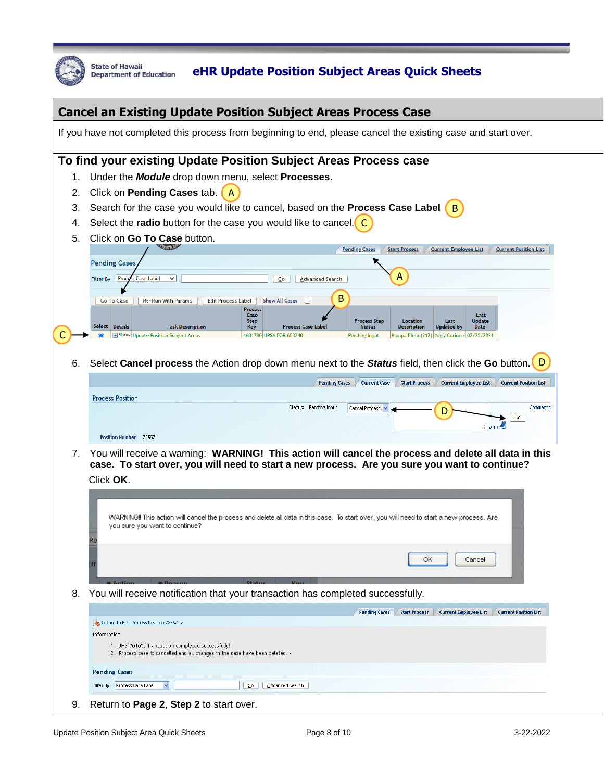

## State of Hawaii **Begartment of Education** eHR Update Position Subject Areas Quick Sheets

|    | <b>Cancel an Existing Update Position Subject Areas Process Case</b>                                                                                                                                                                                                                       |
|----|--------------------------------------------------------------------------------------------------------------------------------------------------------------------------------------------------------------------------------------------------------------------------------------------|
|    | If you have not completed this process from beginning to end, please cancel the existing case and start over.                                                                                                                                                                              |
|    | To find your existing Update Position Subject Areas Process case                                                                                                                                                                                                                           |
| 1. | Under the <b>Module</b> drop down menu, select <b>Processes</b> .                                                                                                                                                                                                                          |
| 2. | Click on Pending Cases tab.                                                                                                                                                                                                                                                                |
| 3. | Search for the case you would like to cancel, based on the Process Case Label $(B)$                                                                                                                                                                                                        |
| 4. | Select the radio button for the case you would like to cancel. C                                                                                                                                                                                                                           |
| 5. | Click on Go To Case button.                                                                                                                                                                                                                                                                |
|    | <b>LIGHT</b><br><b>Pending Cases</b><br><b>Start Process</b><br><b>Current Employee List</b><br><b>Current Position List</b>                                                                                                                                                               |
|    | <b>Pending Cases</b>                                                                                                                                                                                                                                                                       |
|    | А<br>Filter By Proce<br>s Case Label<br>$\check{ }$<br>⊆o<br>Advanced Search                                                                                                                                                                                                               |
|    | В<br>Go To Case<br>Re-Run With Params<br>  Show All Cases<br>Edit Process Label                                                                                                                                                                                                            |
|    | Process<br>Case<br>Last<br><b>Step</b><br><b>Process Step</b><br>Location<br><b>Update</b><br>Last                                                                                                                                                                                         |
|    | Select Details<br><b>Task Description</b><br><b>Process Case Label</b><br>Key<br><b>Status</b><br><b>Description</b><br><b>Updated By</b><br>Date<br><b>E</b> Show Update Position Subject Areas<br>4601780 UPSA FOR 603240<br>Kipapa Elem (212) Yogi, Corinne 02/25/2021<br>Pending Input |
|    |                                                                                                                                                                                                                                                                                            |
| 6. | Select Cancel process the Action drop down menu next to the Status field, then click the Go button.                                                                                                                                                                                        |
|    | <b>Current Case</b><br><b>Start Process</b><br><b>Current Employee List</b><br><b>Current Position List</b><br><b>Pending Cases</b>                                                                                                                                                        |
|    | <b>Process Position</b>                                                                                                                                                                                                                                                                    |
|    | Status: Pending Input<br>Comments<br>Cancel Process V<br>D                                                                                                                                                                                                                                 |
|    | $Q_0$                                                                                                                                                                                                                                                                                      |
|    | Position Number: 72557                                                                                                                                                                                                                                                                     |
| 7. | You will receive a warning: WARNING! This action will cancel the process and delete all data in this                                                                                                                                                                                       |
|    | case. To start over, you will need to start a new process. Are you sure you want to continue?                                                                                                                                                                                              |
|    | Click OK.                                                                                                                                                                                                                                                                                  |
|    |                                                                                                                                                                                                                                                                                            |
|    | WARNING!! This action will cancel the process and delete all data in this case. To start over, you will need to start a new process. Are<br>you sure you want to continue?                                                                                                                 |
|    |                                                                                                                                                                                                                                                                                            |
|    |                                                                                                                                                                                                                                                                                            |
|    | ОК<br>Cancel                                                                                                                                                                                                                                                                               |
|    |                                                                                                                                                                                                                                                                                            |
| 8. | You will receive notification that your transaction has completed successfully.                                                                                                                                                                                                            |
|    | <b>Current Employee List</b><br><b>Current Position List</b><br><b>Pending Cases</b><br><b>Start Process</b>                                                                                                                                                                               |
|    | Return to Edit Process Position 72557 ><br>Information                                                                                                                                                                                                                                     |
|    | 1. JHS-00100: Transaction completed successfully!                                                                                                                                                                                                                                          |
|    | 2. Process case is cancelled and all changes in the case have been deleted. -                                                                                                                                                                                                              |
|    | <b>Pending Cases</b>                                                                                                                                                                                                                                                                       |
|    | Process Case Label<br>Advanced Search<br>Filter By<br>Y<br>$\overline{c}$                                                                                                                                                                                                                  |
| 9. | Return to Page 2, Step 2 to start over.                                                                                                                                                                                                                                                    |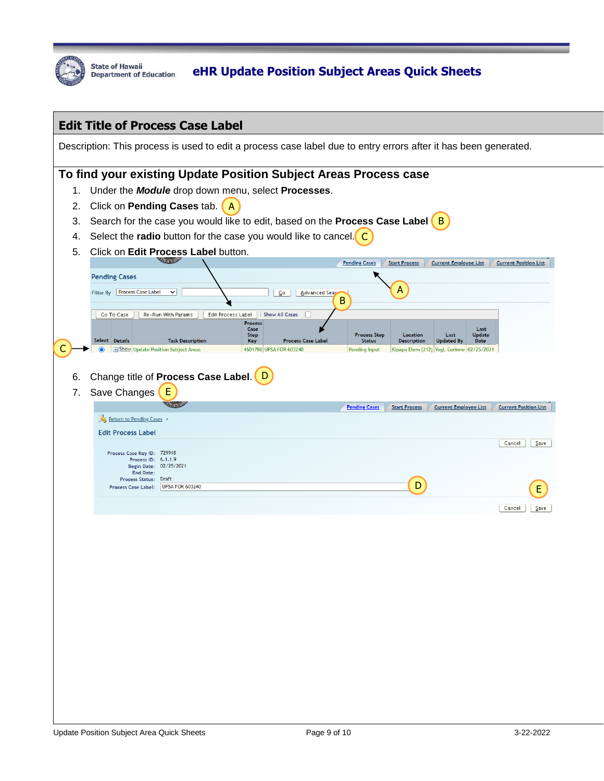

|    |                                                                                                                 | <b>Edit Title of Process Case Label</b>  |                                                             |                                |                      |                                                                         |                              |
|----|-----------------------------------------------------------------------------------------------------------------|------------------------------------------|-------------------------------------------------------------|--------------------------------|----------------------|-------------------------------------------------------------------------|------------------------------|
|    | Description: This process is used to edit a process case label due to entry errors after it has been generated. |                                          |                                                             |                                |                      |                                                                         |                              |
|    | To find your existing Update Position Subject Areas Process case                                                |                                          |                                                             |                                |                      |                                                                         |                              |
| 1. | Under the <b>Module</b> drop down menu, select <b>Processes</b> .                                               |                                          |                                                             |                                |                      |                                                                         |                              |
| 2. | Click on Pending Cases tab.<br>$\mathbf{A}$                                                                     |                                          |                                                             |                                |                      |                                                                         |                              |
| 3. | Search for the case you would like to edit, based on the <b>Process Case Label</b> $(B)$                        |                                          |                                                             |                                |                      |                                                                         |                              |
| 4. | Select the radio button for the case you would like to cancel. $\left($ C                                       |                                          |                                                             |                                |                      |                                                                         |                              |
| 5. |                                                                                                                 | Click on Edit Process Label button.      |                                                             |                                |                      |                                                                         |                              |
|    | <b>Pending Cases</b>                                                                                            |                                          |                                                             | <b>Pending Cases</b>           | <b>Start Process</b> | <b>Current Employee List</b>                                            | <b>Current Position List</b> |
|    | Filter By Process Case Label                                                                                    | $\check{~}$                              | ⊆o<br>Advanced Sear                                         |                                | А                    |                                                                         |                              |
|    |                                                                                                                 |                                          |                                                             | В                              |                      |                                                                         |                              |
|    | Go To Case                                                                                                      | Re-Run With Params<br>Edit Process Label | <b>Show All Cases</b><br>Process                            |                                |                      |                                                                         |                              |
|    |                                                                                                                 |                                          | Case<br><b>Step</b>                                         | <b>Process Step</b>            | Location             | Last<br>Last<br><b>Update</b>                                           |                              |
|    | Select Details<br><b>H</b> Show Update Position Subject Areas                                                   | <b>Task Description</b>                  | <b>Process Case Label</b><br>Key<br>4601780 UPSA FOR 603240 | <b>Status</b><br>Pending Input | <b>Description</b>   | <b>Updated By</b><br>Date<br>Kipapa Elem (212) Yogi, Corinne 02/25/2021 |                              |
|    |                                                                                                                 |                                          |                                                             |                                |                      |                                                                         |                              |
| 6. |                                                                                                                 | Change title of Process Case Label. D    |                                                             |                                |                      |                                                                         |                              |
| 7. | Save Changes                                                                                                    | E                                        |                                                             |                                |                      |                                                                         |                              |
|    |                                                                                                                 | <b>ALCOHOL</b>                           |                                                             | <b>Pending Cases</b>           | <b>Start Process</b> | <b>Current Employee List</b>                                            | <b>Current Position List</b> |
|    | Return to Pending Cases<br><b>Edit Process Label</b>                                                            |                                          |                                                             |                                |                      |                                                                         |                              |
|    |                                                                                                                 |                                          |                                                             |                                |                      |                                                                         | Cancel<br>∑ave               |
|    | Process Case Key ID: 729918<br>Process ID: 6.1.1.9                                                              |                                          |                                                             |                                |                      |                                                                         |                              |
|    | Begin Date: 02/25/2021<br><b>End Date:</b><br>Process Status: Draft                                             |                                          |                                                             |                                |                      |                                                                         |                              |
|    | Process Case Label: UPSA FOR 603240                                                                             |                                          |                                                             |                                | D                    |                                                                         |                              |
|    |                                                                                                                 |                                          |                                                             |                                |                      |                                                                         | Cancel<br>∑ave               |
|    |                                                                                                                 |                                          |                                                             |                                |                      |                                                                         |                              |
|    |                                                                                                                 |                                          |                                                             |                                |                      |                                                                         |                              |
|    |                                                                                                                 |                                          |                                                             |                                |                      |                                                                         |                              |
|    |                                                                                                                 |                                          |                                                             |                                |                      |                                                                         |                              |
|    |                                                                                                                 |                                          |                                                             |                                |                      |                                                                         |                              |
|    |                                                                                                                 |                                          |                                                             |                                |                      |                                                                         |                              |
|    |                                                                                                                 |                                          |                                                             |                                |                      |                                                                         |                              |
|    |                                                                                                                 |                                          |                                                             |                                |                      |                                                                         |                              |
|    |                                                                                                                 |                                          |                                                             |                                |                      |                                                                         |                              |
|    |                                                                                                                 |                                          |                                                             |                                |                      |                                                                         |                              |
|    |                                                                                                                 |                                          |                                                             |                                |                      |                                                                         |                              |
|    |                                                                                                                 |                                          |                                                             |                                |                      |                                                                         |                              |